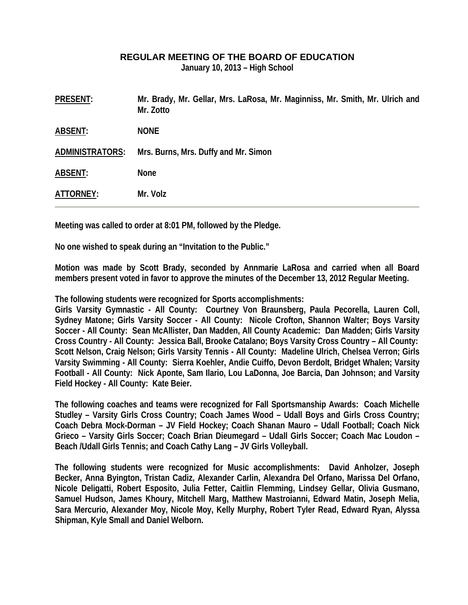## **REGULAR MEETING OF THE BOARD OF EDUCATION**

**January 10, 2013 – High School** 

| <b>PRESENT:</b>        | Mr. Brady, Mr. Gellar, Mrs. LaRosa, Mr. Maginniss, Mr. Smith, Mr. Ulrich and<br>Mr. Zotto |
|------------------------|-------------------------------------------------------------------------------------------|
| <b>ABSENT:</b>         | <b>NONE</b>                                                                               |
| <b>ADMINISTRATORS:</b> | Mrs. Burns, Mrs. Duffy and Mr. Simon                                                      |
| <b>ABSENT:</b>         | <b>None</b>                                                                               |
| ATTORNEY:              | Mr. Volz                                                                                  |

**Meeting was called to order at 8:01 PM, followed by the Pledge.** 

**No one wished to speak during an "Invitation to the Public."** 

**Motion was made by Scott Brady, seconded by Annmarie LaRosa and carried when all Board members present voted in favor to approve the minutes of the December 13, 2012 Regular Meeting.** 

**The following students were recognized for Sports accomplishments:** 

**Girls Varsity Gymnastic - All County: Courtney Von Braunsberg, Paula Pecorella, Lauren Coll, Sydney Matone; Girls Varsity Soccer - All County: Nicole Crofton, Shannon Walter; Boys Varsity Soccer - All County: Sean McAllister, Dan Madden, All County Academic: Dan Madden; Girls Varsity Cross Country - All County: Jessica Ball, Brooke Catalano; Boys Varsity Cross Country – All County: Scott Nelson, Craig Nelson; Girls Varsity Tennis - All County: Madeline Ulrich, Chelsea Verron; Girls Varsity Swimming - All County: Sierra Koehler, Andie Cuiffo, Devon Berdolt, Bridget Whalen; Varsity Football - All County: Nick Aponte, Sam Ilario, Lou LaDonna, Joe Barcia, Dan Johnson; and Varsity Field Hockey - All County: Kate Beier.** 

**The following coaches and teams were recognized for Fall Sportsmanship Awards: Coach Michelle Studley – Varsity Girls Cross Country; Coach James Wood – Udall Boys and Girls Cross Country; Coach Debra Mock-Dorman – JV Field Hockey; Coach Shanan Mauro – Udall Football; Coach Nick Grieco – Varsity Girls Soccer; Coach Brian Dieumegard – Udall Girls Soccer; Coach Mac Loudon – Beach /Udall Girls Tennis; and Coach Cathy Lang – JV Girls Volleyball.** 

**The following students were recognized for Music accomplishments: David Anholzer, Joseph Becker, Anna Byington, Tristan Cadiz, Alexander Carlin, Alexandra Del Orfano, Marissa Del Orfano, Nicole Deligatti, Robert Esposito, Julia Fetter, Caitlin Flemming, Lindsey Gellar, Olivia Gusmano, Samuel Hudson, James Khoury, Mitchell Marg, Matthew Mastroianni, Edward Matin, Joseph Melia, Sara Mercurio, Alexander Moy, Nicole Moy, Kelly Murphy, Robert Tyler Read, Edward Ryan, Alyssa Shipman, Kyle Small and Daniel Welborn.**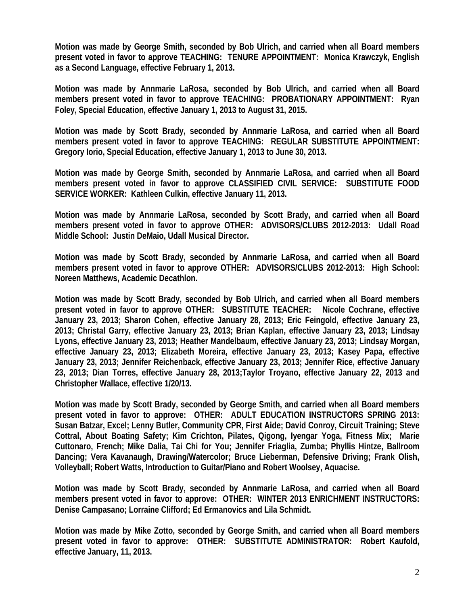**Motion was made by George Smith, seconded by Bob Ulrich, and carried when all Board members present voted in favor to approve TEACHING: TENURE APPOINTMENT: Monica Krawczyk, English as a Second Language, effective February 1, 2013.** 

**Motion was made by Annmarie LaRosa, seconded by Bob Ulrich, and carried when all Board members present voted in favor to approve TEACHING: PROBATIONARY APPOINTMENT: Ryan Foley, Special Education, effective January 1, 2013 to August 31, 2015.** 

**Motion was made by Scott Brady, seconded by Annmarie LaRosa, and carried when all Board members present voted in favor to approve TEACHING: REGULAR SUBSTITUTE APPOINTMENT: Gregory Iorio, Special Education, effective January 1, 2013 to June 30, 2013.** 

**Motion was made by George Smith, seconded by Annmarie LaRosa, and carried when all Board members present voted in favor to approve CLASSIFIED CIVIL SERVICE: SUBSTITUTE FOOD SERVICE WORKER: Kathleen Culkin, effective January 11, 2013.** 

**Motion was made by Annmarie LaRosa, seconded by Scott Brady, and carried when all Board members present voted in favor to approve OTHER: ADVISORS/CLUBS 2012-2013: Udall Road Middle School: Justin DeMaio, Udall Musical Director.** 

**Motion was made by Scott Brady, seconded by Annmarie LaRosa, and carried when all Board members present voted in favor to approve OTHER: ADVISORS/CLUBS 2012-2013: High School: Noreen Matthews, Academic Decathlon.** 

**Motion was made by Scott Brady, seconded by Bob Ulrich, and carried when all Board members present voted in favor to approve OTHER: SUBSTITUTE TEACHER: Nicole Cochrane, effective January 23, 2013; Sharon Cohen, effective January 28, 2013; Eric Feingold, effective January 23, 2013; Christal Garry, effective January 23, 2013; Brian Kaplan, effective January 23, 2013; Lindsay Lyons, effective January 23, 2013; Heather Mandelbaum, effective January 23, 2013; Lindsay Morgan, effective January 23, 2013; Elizabeth Moreira, effective January 23, 2013; Kasey Papa, effective January 23, 2013; Jennifer Reichenback, effective January 23, 2013; Jennifer Rice, effective January 23, 2013; Dian Torres, effective January 28, 2013;Taylor Troyano, effective January 22, 2013 and Christopher Wallace, effective 1/20/13.** 

**Motion was made by Scott Brady, seconded by George Smith, and carried when all Board members present voted in favor to approve: OTHER: ADULT EDUCATION INSTRUCTORS SPRING 2013: Susan Batzar, Excel; Lenny Butler, Community CPR, First Aide; David Conroy, Circuit Training; Steve Cottral, About Boating Safety; Kim Crichton, Pilates, Qigong, Iyengar Yoga, Fitness Mix; Marie Cuttonaro, French; Mike Dalia, Tai Chi for You; Jennifer Friaglia, Zumba; Phyllis Hintze, Ballroom Dancing; Vera Kavanaugh, Drawing/Watercolor; Bruce Lieberman, Defensive Driving; Frank Olish, Volleyball; Robert Watts, Introduction to Guitar/Piano and Robert Woolsey, Aquacise.** 

**Motion was made by Scott Brady, seconded by Annmarie LaRosa, and carried when all Board members present voted in favor to approve: OTHER: WINTER 2013 ENRICHMENT INSTRUCTORS: Denise Campasano; Lorraine Clifford; Ed Ermanovics and Lila Schmidt.** 

**Motion was made by Mike Zotto, seconded by George Smith, and carried when all Board members present voted in favor to approve: OTHER: SUBSTITUTE ADMINISTRATOR: Robert Kaufold, effective January, 11, 2013.**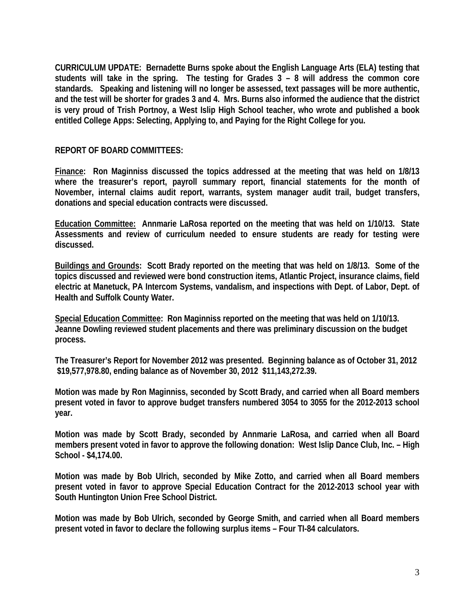**CURRICULUM UPDATE: Bernadette Burns spoke about the English Language Arts (ELA) testing that students will take in the spring. The testing for Grades 3 – 8 will address the common core standards. Speaking and listening will no longer be assessed, text passages will be more authentic, and the test will be shorter for grades 3 and 4. Mrs. Burns also informed the audience that the district is very proud of Trish Portnoy, a West Islip High School teacher, who wrote and published a book entitled College Apps: Selecting, Applying to, and Paying for the Right College for you.** 

## **REPORT OF BOARD COMMITTEES:**

**Finance: Ron Maginniss discussed the topics addressed at the meeting that was held on 1/8/13 where the treasurer's report, payroll summary report, financial statements for the month of November, internal claims audit report, warrants, system manager audit trail, budget transfers, donations and special education contracts were discussed.** 

**Education Committee: Annmarie LaRosa reported on the meeting that was held on 1/10/13. State Assessments and review of curriculum needed to ensure students are ready for testing were discussed.** 

**Buildings and Grounds: Scott Brady reported on the meeting that was held on 1/8/13. Some of the topics discussed and reviewed were bond construction items, Atlantic Project, insurance claims, field electric at Manetuck, PA Intercom Systems, vandalism, and inspections with Dept. of Labor, Dept. of Health and Suffolk County Water.** 

**Special Education Committee: Ron Maginniss reported on the meeting that was held on 1/10/13. Jeanne Dowling reviewed student placements and there was preliminary discussion on the budget process.** 

**The Treasurer's Report for November 2012 was presented. Beginning balance as of October 31, 2012 \$19,577,978.80, ending balance as of November 30, 2012 \$11,143,272.39.** 

**Motion was made by Ron Maginniss, seconded by Scott Brady, and carried when all Board members present voted in favor to approve budget transfers numbered 3054 to 3055 for the 2012-2013 school year.** 

**Motion was made by Scott Brady, seconded by Annmarie LaRosa, and carried when all Board members present voted in favor to approve the following donation: West Islip Dance Club, Inc. – High School - \$4,174.00.** 

**Motion was made by Bob Ulrich, seconded by Mike Zotto, and carried when all Board members present voted in favor to approve Special Education Contract for the 2012-2013 school year with South Huntington Union Free School District.** 

**Motion was made by Bob Ulrich, seconded by George Smith, and carried when all Board members present voted in favor to declare the following surplus items – Four TI-84 calculators.**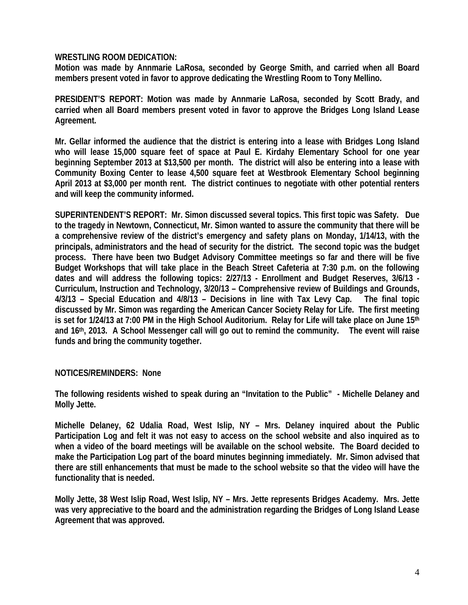## **WRESTLING ROOM DEDICATION:**

**Motion was made by Annmarie LaRosa, seconded by George Smith, and carried when all Board members present voted in favor to approve dedicating the Wrestling Room to Tony Mellino.** 

**PRESIDENT'S REPORT: Motion was made by Annmarie LaRosa, seconded by Scott Brady, and carried when all Board members present voted in favor to approve the Bridges Long Island Lease Agreement.** 

**Mr. Gellar informed the audience that the district is entering into a lease with Bridges Long Island who will lease 15,000 square feet of space at Paul E. Kirdahy Elementary School for one year beginning September 2013 at \$13,500 per month. The district will also be entering into a lease with Community Boxing Center to lease 4,500 square feet at Westbrook Elementary School beginning April 2013 at \$3,000 per month rent. The district continues to negotiate with other potential renters and will keep the community informed.** 

**SUPERINTENDENT'S REPORT: Mr. Simon discussed several topics. This first topic was Safety. Due to the tragedy in Newtown, Connecticut, Mr. Simon wanted to assure the community that there will be a comprehensive review of the district's emergency and safety plans on Monday, 1/14/13, with the principals, administrators and the head of security for the district. The second topic was the budget process. There have been two Budget Advisory Committee meetings so far and there will be five Budget Workshops that will take place in the Beach Street Cafeteria at 7:30 p.m. on the following dates and will address the following topics: 2/27/13 - Enrollment and Budget Reserves, 3/6/13 - Curriculum, Instruction and Technology, 3/20/13 – Comprehensive review of Buildings and Grounds, 4/3/13 – Special Education and 4/8/13 – Decisions in line with Tax Levy Cap. The final topic discussed by Mr. Simon was regarding the American Cancer Society Relay for Life. The first meeting is set for 1/24/13 at 7:00 PM in the High School Auditorium. Relay for Life will take place on June 15th and 16th, 2013. A School Messenger call will go out to remind the community. The event will raise funds and bring the community together.** 

## **NOTICES/REMINDERS: None**

**The following residents wished to speak during an "Invitation to the Public" - Michelle Delaney and Molly Jette.** 

**Michelle Delaney, 62 Udalia Road, West Islip, NY – Mrs. Delaney inquired about the Public Participation Log and felt it was not easy to access on the school website and also inquired as to when a video of the board meetings will be available on the school website. The Board decided to make the Participation Log part of the board minutes beginning immediately. Mr. Simon advised that there are still enhancements that must be made to the school website so that the video will have the functionality that is needed.** 

**Molly Jette, 38 West Islip Road, West Islip, NY – Mrs. Jette represents Bridges Academy. Mrs. Jette was very appreciative to the board and the administration regarding the Bridges of Long Island Lease Agreement that was approved.**